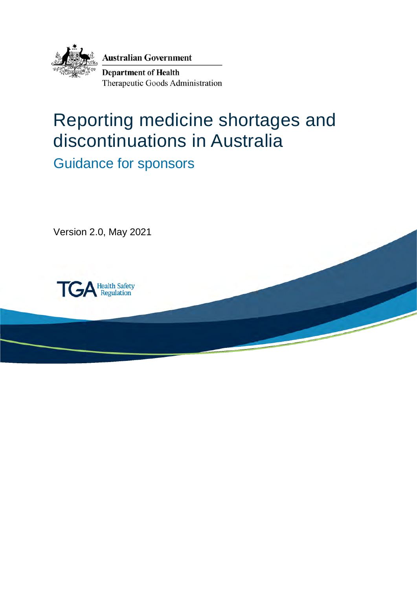

**Australian Government** 

**Department of Health** Therapeutic Goods Administration

# Reporting medicine shortages and discontinuations in Australia

Guidance for sponsors

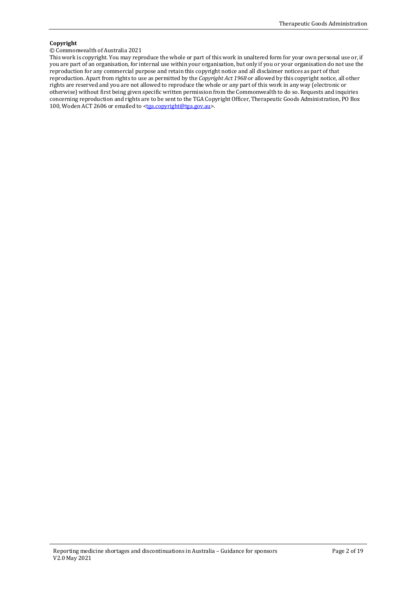#### **Copyright**

#### © Commonwealth of Australia 2021

This work is copyright. You may reproduce the whole or part of this work in unaltered form for your own personal use or, if you are part of an organisation, for internal use within your organisation, but only if you or your organisation do not use the reproduction for any commercial purpose and retain this copyright notice and all disclaimer notices as part of that reproduction. Apart from rights to use as permitted by the *Copyright Act 1968* or allowed by this copyright notice, all other rights are reserved and you are not allowed to reproduce the whole or any part of this work in any way (electronic or otherwise) without first being given specific written permission from the Commonwealth to do so. Requests and inquiries concerning reproduction and rights are to be sent to the TGA Copyright Officer, Therapeutic Goods Administration, PO Box 100, Woden ACT 2606 or emailed to [<tga.copyright@tga.gov.au>](mailto:tga.copyright@tga.gov.au).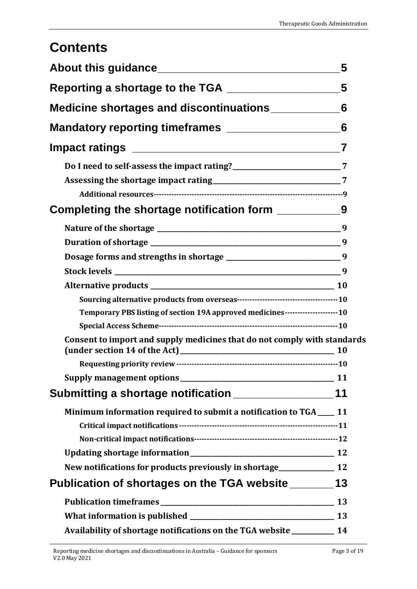# **Contents**

|                                                                                | 5              |
|--------------------------------------------------------------------------------|----------------|
| Reporting a shortage to the TGA __________________                             | 5              |
| Medicine shortages and discontinuations ______________6                        |                |
|                                                                                | 6              |
|                                                                                | $\overline{7}$ |
|                                                                                |                |
|                                                                                |                |
| Completing the shortage notification form ___________                          | 9              |
|                                                                                | 9              |
|                                                                                |                |
| Dosage forms and strengths in shortage __________________________________9     |                |
|                                                                                | 9              |
|                                                                                |                |
|                                                                                |                |
| Temporary PBS listing of section 19A approved medicines---------------------10 |                |
|                                                                                |                |
| Consent to import and supply medicines that do not comply with standards       |                |
|                                                                                |                |
|                                                                                |                |
| Submitting a shortage notification _____________________11                     |                |
| Minimum information required to submit a notification to TGA ___ 11            |                |
|                                                                                |                |
|                                                                                |                |
|                                                                                |                |
| New notifications for products previously in shortage_______________ 12        |                |
| Publication of shortages on the TGA website _________13                        |                |
|                                                                                |                |
|                                                                                |                |
| Availability of shortage notifications on the TGA website __________ 14        |                |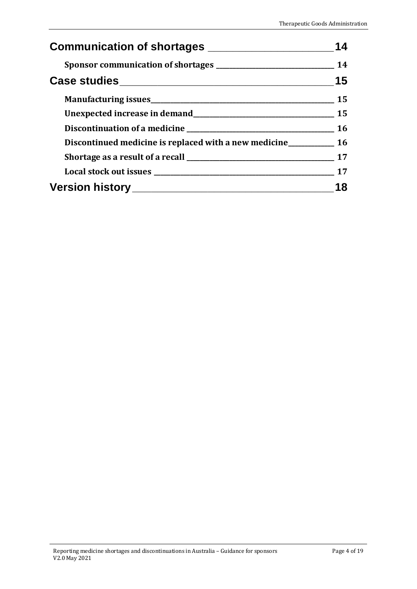| Communication of shortages _____________________                    |    |
|---------------------------------------------------------------------|----|
|                                                                     | 14 |
|                                                                     | 15 |
|                                                                     | 15 |
|                                                                     |    |
|                                                                     |    |
| Discontinued medicine is replaced with a new medicine___________ 16 |    |
|                                                                     |    |
|                                                                     |    |
|                                                                     | 18 |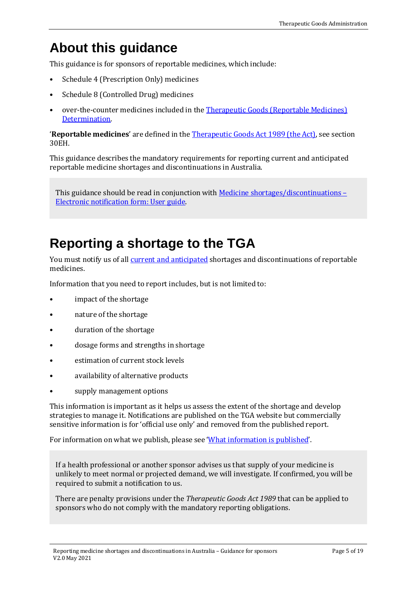# <span id="page-4-0"></span>**About this guidance**

This guidance is for sponsors of reportable medicines, which include:

- Schedule 4 (Prescription Only) medicines
- Schedule 8 (Controlled Drug) medicines
- over-the-counter medicines included in the [Therapeutic Goods \(Reportable Medicines\)](https://www.legislation.gov.au/Series/F2018L01678)  [Determination.](https://www.legislation.gov.au/Series/F2018L01678)

'**Reportable medicines**' are defined in the [Therapeutic Goods Act 1989 \(the Act\),](https://www.legislation.gov.au/Series/C2004A03952) see section 30EH.

This guidance describes the mandatory requirements for reporting current and anticipated reportable medicine shortages and discontinuations in Australia.

This guidance should be read in conjunction with Medicine shortages/discontinuations -[Electronic notification form: User guide.](https://www.tga.gov.au/publication/medicine-shortagesdiscontinuations-electronic-notification-form-user-guide) 

# <span id="page-4-1"></span>**Reporting a shortage to the TGA**

You must notify us of all **current and anticipated** shortages and discontinuations of reportable medicines.

Information that you need to report includes, but is not limited to:

- impact of the shortage
- nature of the shortage
- duration of the shortage
- dosage forms and strengths in shortage
- estimation of current stock levels
- availability of alternative products
- supply management options

This information is important as it helps us assess the extent of the shortage and develop strategies to manage it. Notifications are published on the TGA website but commercially sensitive information is for 'official use only' and removed from the published report.

For information on what we publish, please see ['What information is published'](#page-12-2).

If a health professional or another sponsor advises us that supply of your medicine is unlikely to meet normal or projected demand, we will investigate. If confirmed, you will be required to submit a notification to us.

There are penalty provisions under the *Therapeutic Goods Act 1989* that can be applied to sponsors who do not comply with the mandatory reporting obligations.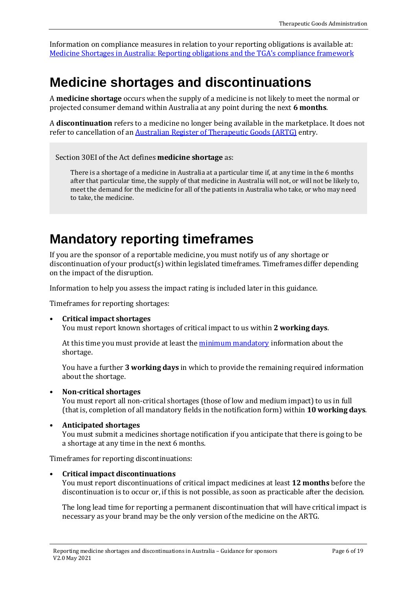Information on compliance measures in relation to your reporting obligations is available at: [Medicine Shortages in Australia: Reporting obligations and the TGA](https://www.tga.gov.au/medicine-shortages-australia-reporting-obligations-and-tgas-compliance-framework)'s compliance framework

# <span id="page-5-0"></span>**Medicine shortages and discontinuations**

A **medicine shortage** occurs when the supply of a medicine is not likely to meet the normal or projected consumer demand within Australia at any point during the next **6 months**.

A **discontinuation** refers to a medicine no longer being available in the marketplace. It does not refer to cancellation of an [Australian Register of Therapeutic Goods \(ARTG\)](https://www.tga.gov.au/australian-register-therapeutic-goods) entry.

Section 30EI of the Act defines **medicine shortage** as:

There is a shortage of a medicine in Australia at a particular time if, at any time in the 6 months after that particular time, the supply of that medicine in Australia will not, or will not be likely to, meet the demand for the medicine for all of the patients in Australia who take, or who may need to take, the medicine.

# <span id="page-5-1"></span>**Mandatory reporting timeframes**

If you are the sponsor of a reportable medicine, you must notify us of any shortage or discontinuation of your product(s) within legislated timeframes. Timeframes differ depending on the impact of the disruption.

Information to help you assess the impact rating is included later in this guidance.

Timeframes for reporting shortages:

• **Critical impact shortages**

You must report known shortages of critical impact to us within **2 working days**.

At this time you must provide at least th[e minimum mandatory](#page-10-2) information about the shortage.

You have a further **3 working days** in which to provide the remaining required information about the shortage.

• **Non-critical shortages**

You must report all non-critical shortages (those of low and medium impact) to us in full (that is, completion of all mandatory fields in the notification form) within **10 working days**.

• **Anticipated shortages**

You must submit a medicines shortage notification if you anticipate that there is going to be a shortage at any time in the next 6 months.

Timeframes for reporting discontinuations:

• **Critical impact discontinuations**

You must report discontinuations of critical impact medicines at least **12 months** before the discontinuation is to occur or, if this is not possible, as soon as practicable after the decision.

The long lead time for reporting a permanent discontinuation that will have critical impact is necessary as your brand may be the only version of the medicine on the ARTG.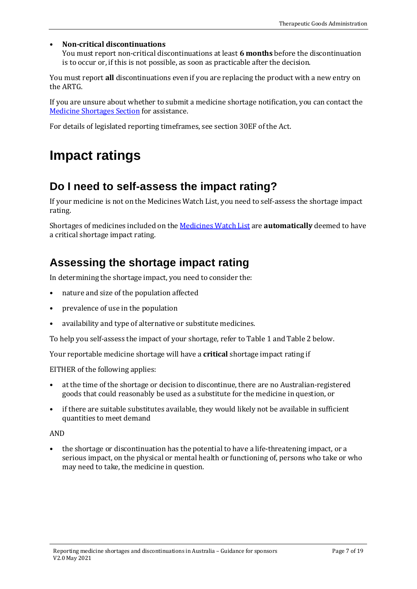### • **Non-critical discontinuations**

You must report non-critical discontinuations at least **6 months** before the discontinuation is to occur or, if this is not possible, as soon as practicable after the decision.

You must report **all** discontinuations even if you are replacing the product with a new entry on the ARTG.

If you are unsure about whether to submit a medicine shortage notification, you can contact the [Medicine Shortages Section](https://www.tga.gov.au/hubs/medicine-shortages#contact) for assistance.

For details of legislated reporting timeframes, see section 30EF of the Act.

# <span id="page-6-0"></span>**Impact ratings**

## <span id="page-6-1"></span>**Do I need to self-assess the impact rating?**

If your medicine is not on the Medicines Watch List, you need to self-assess the shortage impact rating.

Shortages of medicines included on the [Medicines Watch List](https://www.legislation.gov.au/Series/F2018L01679) are **automatically** deemed to have a critical shortage impact rating.

## <span id="page-6-2"></span>**Assessing the shortage impact rating**

In determining the shortage impact, you need to consider the:

- nature and size of the population affected
- prevalence of use in the population
- availability and type of alternative or substitute medicines.

To help you self-assess the impact of your shortage, refer to Table 1 and Table 2 below.

Your reportable medicine shortage will have a **critical** shortage impact rating if

EITHER of the following applies:

- at the time of the shortage or decision to discontinue, there are no Australian-registered goods that could reasonably be used as a substitute for the medicine in question, or
- if there are suitable substitutes available, they would likely not be available in sufficient quantities to meet demand

#### AND

• the shortage or discontinuation has the potential to have a life-threatening impact, or a serious impact, on the physical or mental health or functioning of, persons who take or who may need to take, the medicine in question.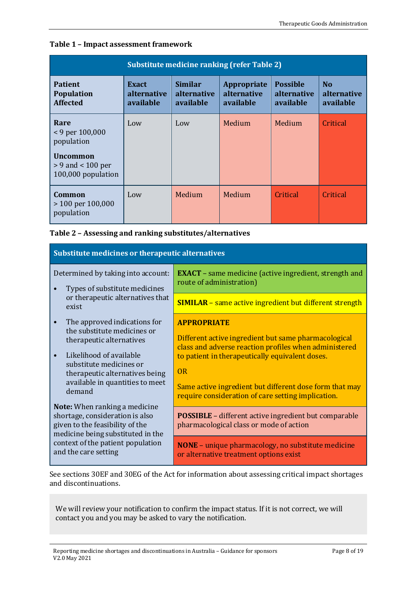| Substitute medicine ranking (refer Table 2)                                                               |                                                 |                                            |                                                       |                                                    |                                            |
|-----------------------------------------------------------------------------------------------------------|-------------------------------------------------|--------------------------------------------|-------------------------------------------------------|----------------------------------------------------|--------------------------------------------|
| <b>Patient</b><br><b>Population</b><br><b>Affected</b>                                                    | <b>Exact</b><br><i>alternative</i><br>available | <b>Similar</b><br>alternative<br>available | <b>Appropriate</b><br><i>alternative</i><br>available | <b>Possible</b><br><i>alternative</i><br>available | N <sub>0</sub><br>alternative<br>available |
| Rare<br>$<$ 9 per 100,000<br>population<br><b>Uncommon</b><br>$> 9$ and $< 100$ per<br>100,000 population | Low                                             | Low                                        | Medium                                                | Medium                                             | Critical                                   |
| Common<br>$>$ 100 per 100,000<br>population                                                               | Low                                             | Medium                                     | Medium                                                | Critical                                           | Critical                                   |

#### **Table 1 – Impact assessment framework**

| Table 2 - Assessing and ranking substitutes/alternatives |
|----------------------------------------------------------|
|----------------------------------------------------------|

| Substitute medicines or therapeutic alternatives                                                                                                                                                                                          |                                                                                                                                                                                                                                                                                                               |  |  |
|-------------------------------------------------------------------------------------------------------------------------------------------------------------------------------------------------------------------------------------------|---------------------------------------------------------------------------------------------------------------------------------------------------------------------------------------------------------------------------------------------------------------------------------------------------------------|--|--|
| Determined by taking into account:<br>Types of substitute medicines                                                                                                                                                                       | <b>EXACT</b> - same medicine (active ingredient, strength and<br>route of administration)                                                                                                                                                                                                                     |  |  |
| or therapeutic alternatives that<br>exist                                                                                                                                                                                                 | <b>SIMILAR</b> - same active ingredient but different strength                                                                                                                                                                                                                                                |  |  |
| The approved indications for<br>$\bullet$<br>the substitute medicines or<br>therapeutic alternatives<br>Likelihood of available<br>substitute medicines or<br>therapeutic alternatives being<br>available in quantities to meet<br>demand | <b>APPROPRIATE</b><br>Different active ingredient but same pharmacological<br>class and adverse reaction profiles when administered<br>to patient in therapeutically equivalent doses.<br>OR<br>Same active ingredient but different dose form that may<br>require consideration of care setting implication. |  |  |
| <b>Note:</b> When ranking a medicine<br>shortage, consideration is also<br>given to the feasibility of the<br>medicine being substituted in the<br>context of the patient population<br>and the care setting                              | <b>POSSIBLE</b> – different active ingredient but comparable<br>pharmacological class or mode of action                                                                                                                                                                                                       |  |  |
|                                                                                                                                                                                                                                           | <b>NONE</b> – unique pharmacology, no substitute medicine<br>or alternative treatment options exist                                                                                                                                                                                                           |  |  |

See sections 30EF and 30EG of the Act for information about assessing critical impact shortages and discontinuations.

We will review your notification to confirm the impact status. If it is not correct, we will contact you and you may be asked to vary the notification.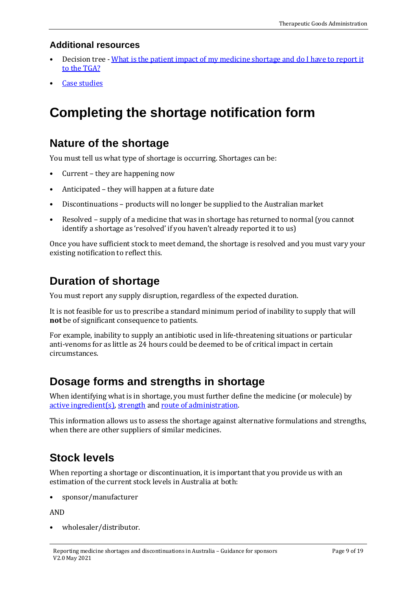### <span id="page-8-0"></span>**Additional resources**

- Decision tree  [What is the patient impact of my medicine shortage and do I have to report it](https://www.tga.gov.au/what-patient-impact-my-medicine-shortage-and-do-i-have-report-it-tga)  [to the TGA?](https://www.tga.gov.au/what-patient-impact-my-medicine-shortage-and-do-i-have-report-it-tga)
- **[Case studies](#page-14-0)**

# <span id="page-8-1"></span>**Completing the shortage notification form**

### <span id="page-8-2"></span>**Nature of the shortage**

You must tell us what type of shortage is occurring. Shortages can be:

- Current they are happening now
- Anticipated they will happen at a future date
- Discontinuations products will no longer be supplied to the Australian market
- Resolved supply of a medicine that was in shortage has returned to normal (you cannot identify a shortage as 'resolved' if you haven't already reported it to us)

Once you have sufficient stock to meet demand, the shortage is resolved and you must vary your existing notification to reflect this.

## <span id="page-8-3"></span>**Duration of shortage**

You must report any supply disruption, regardless of the expected duration.

It is not feasible for us to prescribe a standard minimum period of inability to supply that will **not** be of significant consequence to patients.

For example, inability to supply an antibiotic used in life-threatening situations or particular anti-venoms for as little as 24 hours could be deemed to be of critical impact in certain circumstances.

## <span id="page-8-4"></span>**Dosage forms and strengths in shortage**

When identifying what is in shortage, you must further define the medicine (or molecule) by [active ingredient\(](https://www.tga.gov.au/acronyms-glossary#id_896)s)[, strength](https://www.tga.gov.au/acronyms-glossary#id_1296) an[d route of administration.](https://www.tga.gov.au/acronyms-glossary#id_1259) 

This information allows us to assess the shortage against alternative formulations and strengths, when there are other suppliers of similar medicines.

# <span id="page-8-5"></span>**Stock levels**

When reporting a shortage or discontinuation, it is important that you provide us with an estimation of the current stock levels in Australia at both:

• sponsor/manufacturer

AND

• wholesaler/distributor.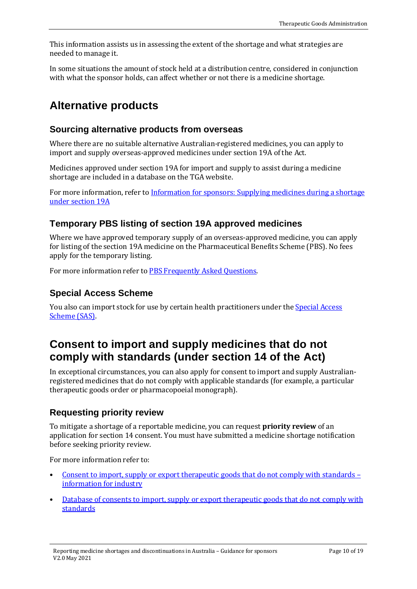This information assists us in assessing the extent of the shortage and what strategies are needed to manage it.

In some situations the amount of stock held at a distribution centre, considered in conjunction with what the sponsor holds, can affect whether or not there is a medicine shortage.

## <span id="page-9-0"></span>**Alternative products**

### <span id="page-9-1"></span>**Sourcing alternative products from overseas**

Where there are no suitable alternative Australian-registered medicines, you can apply to import and supply overseas-approved medicines under section 19A of the Act.

Medicines approved under section 19A for import and supply to assist during a medicine shortage are included in a database on the TGA website.

For more information, refer to Information for sponsors: Supplying medicines during a shortage [under section 19A](https://www.tga.gov.au/information-sponsors-supplying-medicines-during-shortage-under-section-19a)

### <span id="page-9-2"></span>**Temporary PBS listing of section 19A approved medicines**

Where we have approved temporary supply of an overseas-approved medicine, you can apply for listing of the section 19A medicine on the Pharmaceutical Benefits Scheme (PBS). No fees apply for the temporary listing.

For more information refer t[o PBS Frequently Asked Questions.](https://www.pbs.gov.au/info/general/faq#WhatistheSpecialAccessScheme)

### <span id="page-9-3"></span>**Special Access Scheme**

You also can import stock for use by certain health practitioners under the **Special Access** [Scheme \(SAS\).](https://www.tga.gov.au/form/special-access-scheme) 

## <span id="page-9-4"></span>**Consent to import and supply medicines that do not comply with standards (under section 14 of the Act)**

In exceptional circumstances, you can also apply for consent to import and supply Australianregistered medicines that do not comply with applicable standards (for example, a particular therapeutic goods order or pharmacopoeial monograph).

### <span id="page-9-5"></span>**Requesting priority review**

To mitigate a shortage of a reportable medicine, you can request **priority review** of an application for section 14 consent. You must have submitted a medicine shortage notification before seeking priority review.

For more information refer to:

- [Consent to import, supply or export therapeutic goods that do not comply with standards](https://www.tga.gov.au/consent-import-supply-or-export-therapeutic-goods-do-not-comply-standards-information-industry)  [information for industry](https://www.tga.gov.au/consent-import-supply-or-export-therapeutic-goods-do-not-comply-standards-information-industry)
- [Database of consents to import, supply or export therapeutic goods that do not comply with](https://www.tga.gov.au/ws-s14-index)  [standards](https://www.tga.gov.au/ws-s14-index)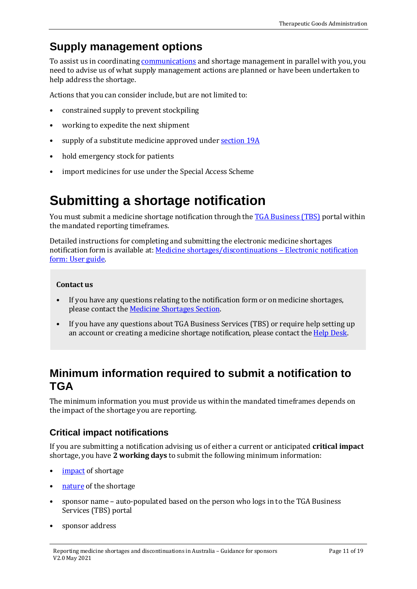# <span id="page-10-0"></span>**Supply management options**

To assist us in coordinating [communications](#page-13-1) and shortage management in parallel with you, you need to advise us of what supply management actions are planned or have been undertaken to help address the shortage.

Actions that you can consider include, but are not limited to:

- constrained supply to prevent stockpiling
- working to expedite the next shipment
- supply of a substitute medicine approved unde[r section 19A](https://www.tga.gov.au/ws-s19a-index)
- hold emergency stock for patients
- import medicines for use under the Special Access Scheme

# <span id="page-10-1"></span>**Submitting a shortage notification**

You must submit a medicine shortage notification through the **TGA Business (TBS)** portal within the mandated reporting timeframes.

Detailed instructions for completing and submitting the electronic medicine shortages notification form is available at: [Medicine shortages/discontinuations – Electronic notification](https://www.tga.gov.au/publication/medicine-shortagesdiscontinuations-electronic-notification-form-user-guide)  [form: User guide.](https://www.tga.gov.au/publication/medicine-shortagesdiscontinuations-electronic-notification-form-user-guide) 

### **Contact us**

- If you have any questions relating to the notification form or on medicine shortages, please contact the [Medicine Shortages Section.](https://www.tga.gov.au/hubs/medicine-shortages#contact)
- If you have any questions about TGA Business Services (TBS) or require help setting up an account or creating a medicine shortage notification, please contact the [Help Desk.](https://www.tga.gov.au/tga-business-services#contacts)

## <span id="page-10-2"></span>**Minimum information required to submit a notification to TGA**

The minimum information you must provide us within the mandated timeframes depends on the impact of the shortage you are reporting.

### <span id="page-10-3"></span>**Critical impact notifications**

If you are submitting a notification advising us of either a current or anticipated **critical impact** shortage, you have **2 working days** to submit the following minimum information:

- [impact](#page-6-0) of shortage
- [nature](#page-8-2) of the shortage
- sponsor name auto-populated based on the person who logs in to the TGA Business Services (TBS) portal
- sponsor address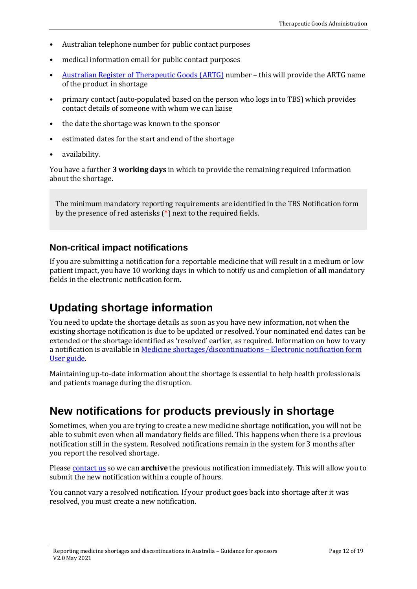- Australian telephone number for public contact purposes
- medical information email for public contact purposes
- [Australian Register of Therapeutic Goods \(ARTG\)](https://www.tga.gov.au/australian-register-therapeutic-goods) number this will provide the ARTG name of the product in shortage
- primary contact (auto-populated based on the person who logs in to TBS) which provides contact details of someone with whom we can liaise
- the date the shortage was known to the sponsor
- estimated dates for the start and end of the shortage
- availability.

You have a further **3 working days** in which to provide the remaining required information about the shortage.

The minimum mandatory reporting requirements are identified in the TBS Notification form by the presence of red asterisks (\*) next to the required fields.

### <span id="page-11-0"></span>**Non-critical impact notifications**

If you are submitting a notification for a reportable medicine that will result in a medium or low patient impact, you have 10 working days in which to notify us and completion of **all** mandatory fields in the electronic notification form.

### <span id="page-11-1"></span>**Updating shortage information**

You need to update the shortage details as soon as you have new information, not when the existing shortage notification is due to be updated or resolved. Your nominated end dates can be extended or the shortage identified as 'resolved' earlier, as required. Information on how to vary a notification is available i[n Medicine shortages/discontinuations – Electronic notification form](https://www.tga.gov.au/publication/medicine-shortagesdiscontinuations-electronic-notification-form-user-guide)  [User guide.](https://www.tga.gov.au/publication/medicine-shortagesdiscontinuations-electronic-notification-form-user-guide)

Maintaining up-to-date information about the shortage is essential to help health professionals and patients manage during the disruption.

### <span id="page-11-2"></span>**New notifications for products previously in shortage**

Sometimes, when you are trying to create a new medicine shortage notification, you will not be able to submit even when all mandatory fields are filled. This happens when there is a previous notification still in the system. Resolved notifications remain in the system for 3 months after you report the resolved shortage.

Pleas[e contact us](https://www.tga.gov.au/hubs/medicine-shortages#contact) so we can **archive** the previous notification immediately. This will allow you to submit the new notification within a couple of hours.

You cannot vary a resolved notification. If your product goes back into shortage after it was resolved, you must create a new notification.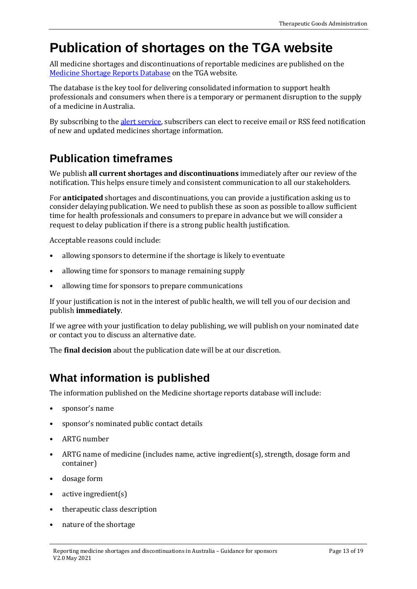# <span id="page-12-0"></span>**Publication of shortages on the TGA website**

All medicine shortages and discontinuations of reportable medicines are published on the [Medicine Shortage Reports Database](https://apps.tga.gov.au/Prod/msi/search?shortagetype=All) on the TGA website.

The database is the key tool for delivering consolidated information to support health professionals and consumers when there is a temporary or permanent disruption to the supply of a medicine in Australia.

By subscribing to th[e alert service,](https://www.tga.gov.au/medicine-shortages-alert-service) subscribers can elect to receive email or RSS feed notification of new and updated medicines shortage information.

# <span id="page-12-1"></span>**Publication timeframes**

We publish **all current shortages and discontinuations** immediately after our review of the notification. This helps ensure timely and consistent communication to all our stakeholders.

For **anticipated** shortages and discontinuations, you can provide a justification asking us to consider delaying publication. We need to publish these as soon as possible to allow sufficient time for health professionals and consumers to prepare in advance but we will consider a request to delay publication if there is a strong public health justification.

Acceptable reasons could include:

- allowing sponsors to determine if the shortage is likely to eventuate
- allowing time for sponsors to manage remaining supply
- allowing time for sponsors to prepare communications

If your justification is not in the interest of public health, we will tell you of our decision and publish **immediately**.

If we agree with your justification to delay publishing, we will publish on your nominated date or contact you to discuss an alternative date.

The **final decision** about the publication date will be at our discretion.

# <span id="page-12-2"></span>**What information is published**

The information published on the Medicine shortage reports database will include:

- sponsor's name
- sponsor's nominated public contact details
- ARTG number
- ARTG name of medicine (includes name, active ingredient(s), strength, dosage form and container)
- dosage form
- active ingredient(s)
- therapeutic class description
- nature of the shortage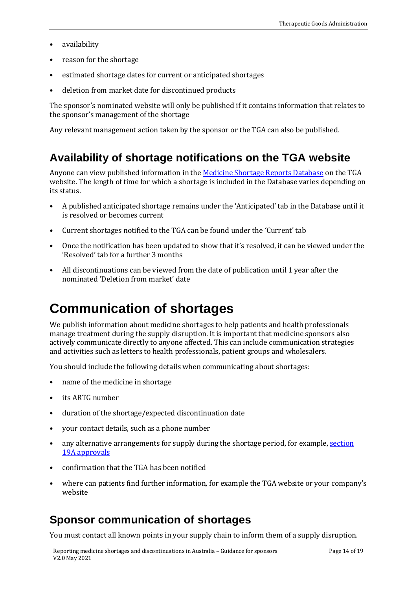- availability
- reason for the shortage
- estimated shortage dates for current or anticipated shortages
- deletion from market date for discontinued products

The sponsor's nominated website will only be published if it contains information that relates to the sponsor's management of the shortage

Any relevant management action taken by the sponsor or the TGA can also be published.

### <span id="page-13-0"></span>**Availability of shortage notifications on the TGA website**

Anyone can view published information in th[e Medicine Shortage Reports Database](https://apps.tga.gov.au/Prod/msi/search?shortagetype=All) on the TGA website. The length of time for which a shortage is included in the Database varies depending on its status.

- A published anticipated shortage remains under the 'Anticipated' tab in the Database until it is resolved or becomes current
- Current shortages notified to the TGA can be found under the 'Current' tab
- Once the notification has been updated to show that it's resolved, it can be viewed under the 'Resolved' tab for a further 3 months
- All discontinuations can be viewed from the date of publication until 1 year after the nominated 'Deletion from market' date

# <span id="page-13-1"></span>**Communication of shortages**

We publish information about medicine shortages to help patients and health professionals manage treatment during the supply disruption. It is important that medicine sponsors also actively communicate directly to anyone affected. This can include communication strategies and activities such as letters to health professionals, patient groups and wholesalers.

You should include the following details when communicating about shortages:

- name of the medicine in shortage
- its ARTG number
- duration of the shortage/expected discontinuation date
- your contact details, such as a phone number
- any alternative arrangements for supply during the shortage period, for example, [section](https://www.tga.gov.au/ws-s19a-index)  [19A approvals](https://www.tga.gov.au/ws-s19a-index)
- confirmation that the TGA has been notified
- where can patients find further information, for example the TGA website or your company's website

### <span id="page-13-2"></span>**Sponsor communication of shortages**

You must contact all known points in your supply chain to inform them of a supply disruption.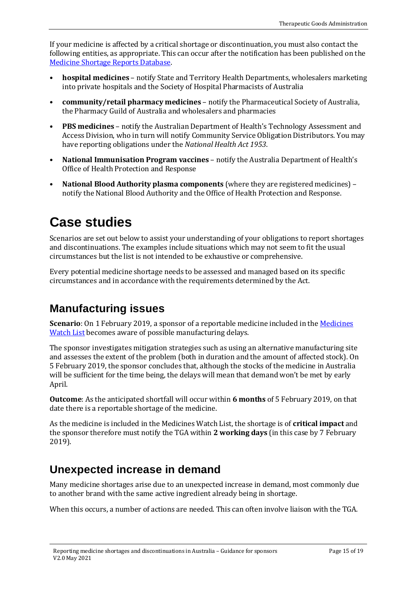If your medicine is affected by a critical shortage or discontinuation, you must also contact the following entities, as appropriate. This can occur after the notification has been published on the [Medicine Shortage Reports Database.](https://apps.tga.gov.au/Prod/msi/search?shortagetype=All) 

- **hospital medicines** notify State and Territory Health Departments, wholesalers marketing into private hospitals and the Society of Hospital Pharmacists of Australia
- **community/retail pharmacy medicines** notify the Pharmaceutical Society of Australia, the Pharmacy Guild of Australia and wholesalers and pharmacies
- **PBS medicines** notify the Australian Department of Health's Technology Assessment and Access Division, who in turn will notify Community Service Obligation Distributors. You may have reporting obligations under the *National Health Act 1953*.
- **National Immunisation Program vaccines** notify the Australia Department of Health's Office of Health Protection and Response
- **National Blood Authority plasma components** (where they are registered medicines) notify the National Blood Authority and the Office of Health Protection and Response.

# <span id="page-14-0"></span>**Case studies**

Scenarios are set out below to assist your understanding of your obligations to report shortages and discontinuations. The examples include situations which may not seem to fit the usual circumstances but the list is not intended to be exhaustive or comprehensive.

Every potential medicine shortage needs to be assessed and managed based on its specific circumstances and in accordance with the requirements determined by the Act.

# <span id="page-14-1"></span>**Manufacturing issues**

**Scenario**: On 1 February 2019, a sponsor of a reportable medicine included in the [Medicines](https://www.legislation.gov.au/Series/F2018L01679)  [Watch List](https://www.legislation.gov.au/Series/F2018L01679) becomes aware of possible manufacturing delays.

The sponsor investigates mitigation strategies such as using an alternative manufacturing site and assesses the extent of the problem (both in duration and the amount of affected stock). On 5 February 2019, the sponsor concludes that, although the stocks of the medicine in Australia will be sufficient for the time being, the delays will mean that demand won't be met by early April.

**Outcome**: As the anticipated shortfall will occur within **6 months** of 5 February 2019, on that date there is a reportable shortage of the medicine.

As the medicine is included in the Medicines Watch List, the shortage is of **critical impact** and the sponsor therefore must notify the TGA within **2 working days** (in this case by 7 February 2019).

# <span id="page-14-2"></span>**Unexpected increase in demand**

Many medicine shortages arise due to an unexpected increase in demand, most commonly due to another brand with the same active ingredient already being in shortage.

When this occurs, a number of actions are needed. This can often involve liaison with the TGA.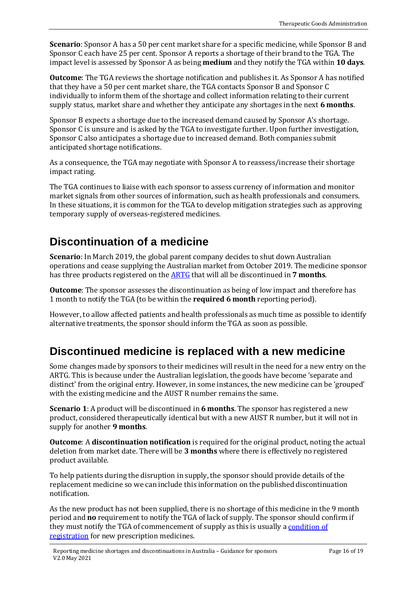**Scenario**: Sponsor A has a 50 per cent market share for a specific medicine, while Sponsor B and Sponsor C each have 25 per cent. Sponsor A reports a shortage of their brand to the TGA. The impact level is assessed by Sponsor A as being **medium** and they notify the TGA within **10 days**.

**Outcome**: The TGA reviews the shortage notification and publishes it. As Sponsor A has notified that they have a 50 per cent market share, the TGA contacts Sponsor B and Sponsor C individually to inform them of the shortage and collect information relating to their current supply status, market share and whether they anticipate any shortages in the next **6 months**.

Sponsor B expects a shortage due to the increased demand caused by Sponsor A's shortage. Sponsor C is unsure and is asked by the TGA to investigate further. Upon further investigation, Sponsor C also anticipates a shortage due to increased demand. Both companies submit anticipated shortage notifications.

As a consequence, the TGA may negotiate with Sponsor A to reassess/increase their shortage impact rating.

The TGA continues to liaise with each sponsor to assess currency of information and monitor market signals from other sources of information, such as health professionals and consumers. In these situations, it is common for the TGA to develop mitigation strategies such as approving temporary supply of overseas-registered medicines.

## <span id="page-15-0"></span>**Discontinuation of a medicine**

**Scenario**: In March 2019, the global parent company decides to shut down Australian operations and cease supplying the Australian market from October 2019. The medicine sponsor has three products registered on the [ARTG](https://www.tga.gov.au/australian-register-therapeutic-goods) that will all be discontinued in **7 months**.

**Outcome**: The sponsor assesses the discontinuation as being of low impact and therefore has 1 month to notify the TGA (to be within the **required 6 month** reporting period).

However, to allow affected patients and health professionals as much time as possible to identify alternative treatments, the sponsor should inform the TGA as soon as possible.

## <span id="page-15-1"></span>**Discontinued medicine is replaced with a new medicine**

Some changes made by sponsors to their medicines will result in the need for a new entry on the ARTG. This is because under the Australian legislation, the goods have become 'separate and distinct' from the original entry. However, in some instances, the new medicine can be 'grouped' with the existing medicine and the AUST R number remains the same.

**Scenario 1**: A product will be discontinued in **6 months**. The sponsor has registered a new product, considered therapeutically identical but with a new AUST R number, but it will not in supply for another **9 months**.

**Outcome**: A **discontinuation notification** is required for the original product, noting the actual deletion from market date. There will be **3 months** where there is effectively no registered product available.

To help patients during the disruption in supply, the sponsor should provide details of the replacement medicine so we can include this information on the published discontinuation notification.

As the new product has not been supplied, there is no shortage of this medicine in the 9 month period and **no** requirement to notify the TGA of lack of supply. The sponsor should confirm if they must notify the TGA of commencement of supply as this is usually a condition of [registration](https://www.tga.gov.au/sites/default/files/dr4-appendix-04.pdf) for new prescription medicines.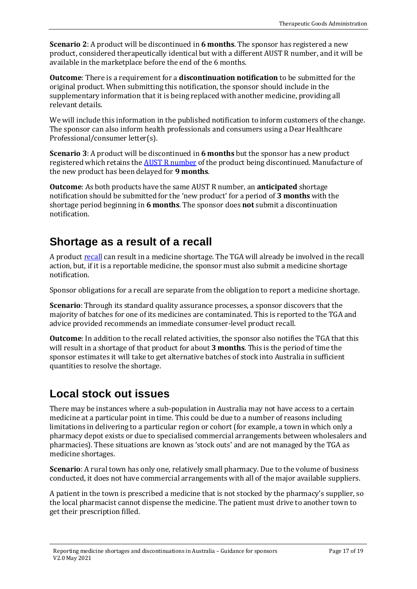**Scenario 2**: A product will be discontinued in **6 months**. The sponsor has registered a new product, considered therapeutically identical but with a different AUST R number, and it will be available in the marketplace before the end of the 6 months.

**Outcome**: There is a requirement for a **discontinuation notification** to be submitted for the original product. When submitting this notification, the sponsor should include in the supplementary information that it is being replaced with another medicine, providing all relevant details.

We will include this information in the published notification to inform customers of the change. The sponsor can also inform health professionals and consumers using a Dear Healthcare Professional/consumer letter(s).

**Scenario 3**: A product will be discontinued in **6 months** but the sponsor has a new product registered which retains th[e AUST R number](https://www.tga.gov.au/acronyms-glossary#id_935) of the product being discontinued. Manufacture of the new product has been delayed for **9 months**.

**Outcome**: As both products have the same AUST R number, an **anticipated** shortage notification should be submitted for the 'new product' for a period of **3 months** with the shortage period beginning in **6 months**. The sponsor does **not** submit a discontinuation notification.

## <span id="page-16-0"></span>**Shortage as a result of a recall**

A product [recall](https://www.tga.gov.au/about-australian-recall-actions) can result in a medicine shortage. The TGA will already be involved in the recall action, but, if it is a reportable medicine, the sponsor must also submit a medicine shortage notification.

Sponsor obligations for a recall are separate from the obligation to report a medicine shortage.

**Scenario**: Through its standard quality assurance processes, a sponsor discovers that the majority of batches for one of its medicines are contaminated. This is reported to the TGA and advice provided recommends an immediate consumer-level product recall.

**Outcome**: In addition to the recall related activities, the sponsor also notifies the TGA that this will result in a shortage of that product for about **3 months**. This is the period of time the sponsor estimates it will take to get alternative batches of stock into Australia in sufficient quantities to resolve the shortage.

# <span id="page-16-1"></span>**Local stock out issues**

There may be instances where a sub-population in Australia may not have access to a certain medicine at a particular point in time. This could be due to a number of reasons including limitations in delivering to a particular region or cohort (for example, a town in which only a pharmacy depot exists or due to specialised commercial arrangements between wholesalers and pharmacies). These situations are known as 'stock outs' and are not managed by the TGA as medicine shortages.

**Scenario**: A rural town has only one, relatively small pharmacy. Due to the volume of business conducted, it does not have commercial arrangements with all of the major available suppliers.

A patient in the town is prescribed a medicine that is not stocked by the pharmacy's supplier, so the local pharmacist cannot dispense the medicine. The patient must drive to another town to get their prescription filled.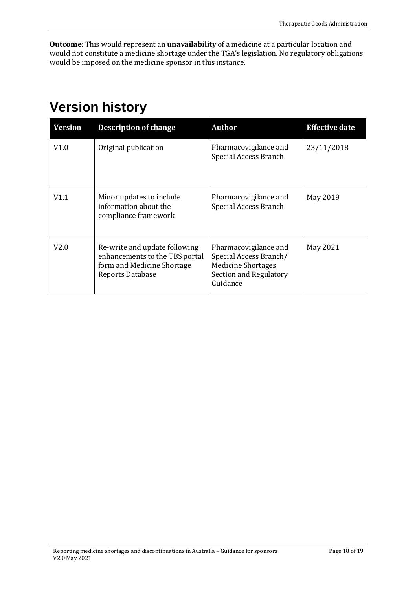**Outcome**: This would represent an **unavailability** of a medicine at a particular location and would not constitute a medicine shortage under the TGA's legislation. No regulatory obligations would be imposed on the medicine sponsor in this instance.

# <span id="page-17-0"></span>**Version history**

| Version | <b>Description of change</b>                                                                                      | <b>Author</b>                                                                                                      | <b>Effective date</b> |
|---------|-------------------------------------------------------------------------------------------------------------------|--------------------------------------------------------------------------------------------------------------------|-----------------------|
| V1.0    | Original publication                                                                                              | Pharmacovigilance and<br>Special Access Branch                                                                     | 23/11/2018            |
| V1.1    | Minor updates to include<br>information about the<br>compliance framework                                         | Pharmacovigilance and<br>Special Access Branch                                                                     | May 2019              |
| V2.0    | Re-write and update following<br>enhancements to the TBS portal<br>form and Medicine Shortage<br>Reports Database | Pharmacovigilance and<br>Special Access Branch/<br><b>Medicine Shortages</b><br>Section and Regulatory<br>Guidance | May 2021              |